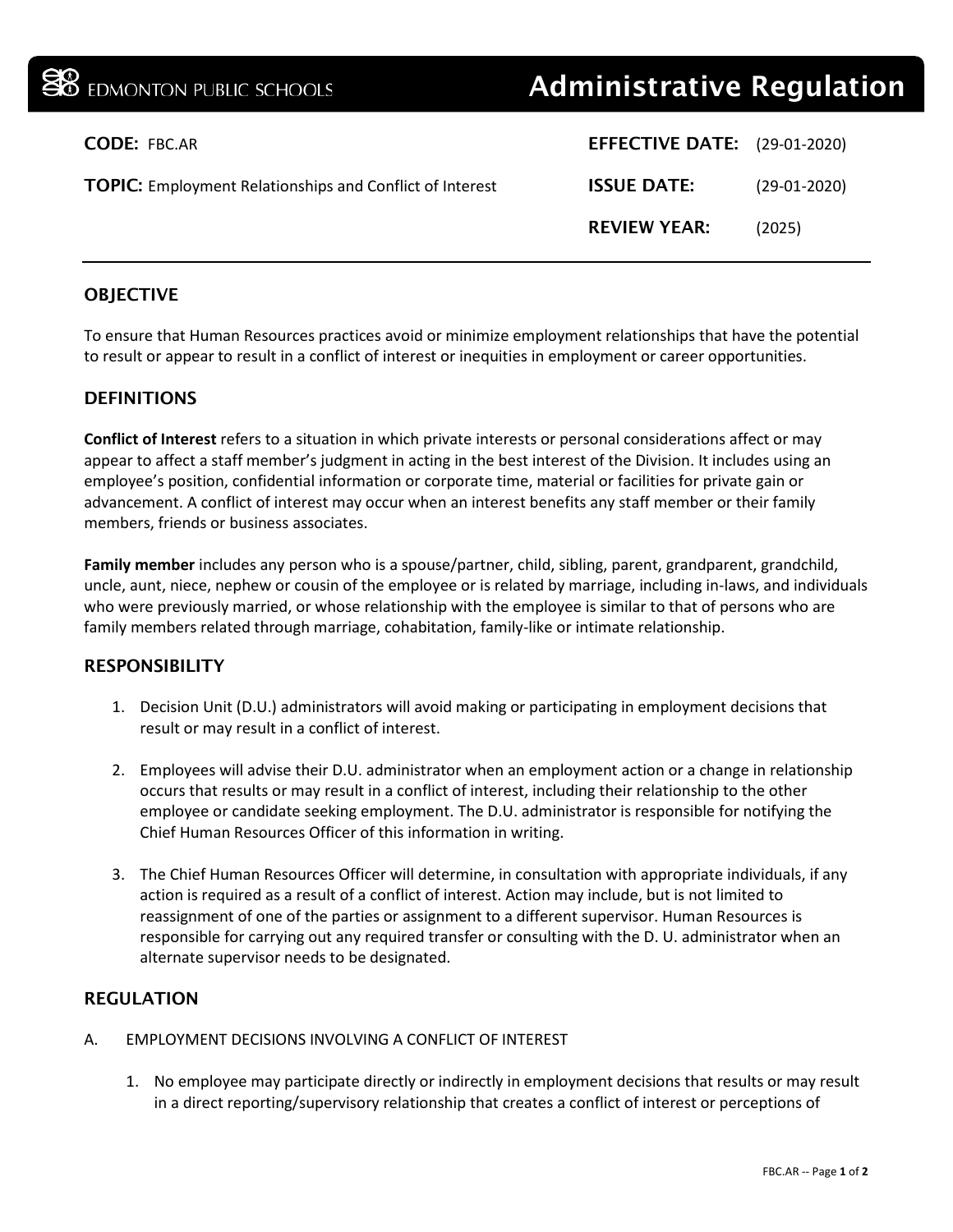| <b>BO</b> EDMONTON PUBLIC SCHOOLS                               | <b>Administrative Regulation</b>    |                |
|-----------------------------------------------------------------|-------------------------------------|----------------|
| <b>CODE: FBC.AR</b>                                             | <b>EFFECTIVE DATE:</b> (29-01-2020) |                |
| <b>TOPIC:</b> Employment Relationships and Conflict of Interest | <b>ISSUE DATE:</b>                  | $(29-01-2020)$ |
|                                                                 | <b>REVIEW YEAR:</b>                 | (2025)         |
|                                                                 |                                     |                |

# **OBJECTIVE**

To ensure that Human Resources practices avoid or minimize employment relationships that have the potential to result or appear to result in a conflict of interest or inequities in employment or career opportunities.

## **DEFINITIONS**

**Conflict of Interest** refers to a situation in which private interests or personal considerations affect or may appear to affect a staff member's judgment in acting in the best interest of the Division. It includes using an employee's position, confidential information or corporate time, material or facilities for private gain or advancement. A conflict of interest may occur when an interest benefits any staff member or their family members, friends or business associates.

**Family member** includes any person who is a spouse/partner, child, sibling, parent, grandparent, grandchild, uncle, aunt, niece, nephew or cousin of the employee or is related by marriage, including in-laws, and individuals who were previously married, or whose relationship with the employee is similar to that of persons who are family members related through marriage, cohabitation, family-like or intimate relationship.

#### RESPONSIBILITY

- 1. Decision Unit (D.U.) administrators will avoid making or participating in employment decisions that result or may result in a conflict of interest.
- 2. Employees will advise their D.U. administrator when an employment action or a change in relationship occurs that results or may result in a conflict of interest, including their relationship to the other employee or candidate seeking employment. The D.U. administrator is responsible for notifying the Chief Human Resources Officer of this information in writing.
- 3. The Chief Human Resources Officer will determine, in consultation with appropriate individuals, if any action is required as a result of a conflict of interest. Action may include, but is not limited to reassignment of one of the parties or assignment to a different supervisor. Human Resources is responsible for carrying out any required transfer or consulting with the D. U. administrator when an alternate supervisor needs to be designated.

## REGULATION

- A. EMPLOYMENT DECISIONS INVOLVING A CONFLICT OF INTEREST
	- 1. No employee may participate directly or indirectly in employment decisions that results or may result in a direct reporting/supervisory relationship that creates a conflict of interest or perceptions of